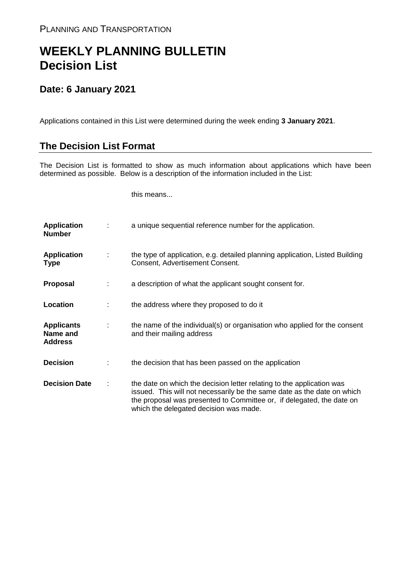## **WEEKLY PLANNING BULLETIN Decision List**

## **Date: 6 January 2021**

Applications contained in this List were determined during the week ending **3 January 2021**.

## **The Decision List Format**

The Decision List is formatted to show as much information about applications which have been determined as possible. Below is a description of the information included in the List:

this means...

| <b>Application</b><br><b>Number</b>             |   | a unique sequential reference number for the application.                                                                                                                                                                                                           |
|-------------------------------------------------|---|---------------------------------------------------------------------------------------------------------------------------------------------------------------------------------------------------------------------------------------------------------------------|
| <b>Application</b><br><b>Type</b>               | ÷ | the type of application, e.g. detailed planning application, Listed Building<br>Consent, Advertisement Consent.                                                                                                                                                     |
| Proposal                                        |   | a description of what the applicant sought consent for.                                                                                                                                                                                                             |
| Location                                        |   | the address where they proposed to do it                                                                                                                                                                                                                            |
| <b>Applicants</b><br>Name and<br><b>Address</b> | ÷ | the name of the individual(s) or organisation who applied for the consent<br>and their mailing address                                                                                                                                                              |
| <b>Decision</b>                                 |   | the decision that has been passed on the application                                                                                                                                                                                                                |
| <b>Decision Date</b>                            |   | the date on which the decision letter relating to the application was<br>issued. This will not necessarily be the same date as the date on which<br>the proposal was presented to Committee or, if delegated, the date on<br>which the delegated decision was made. |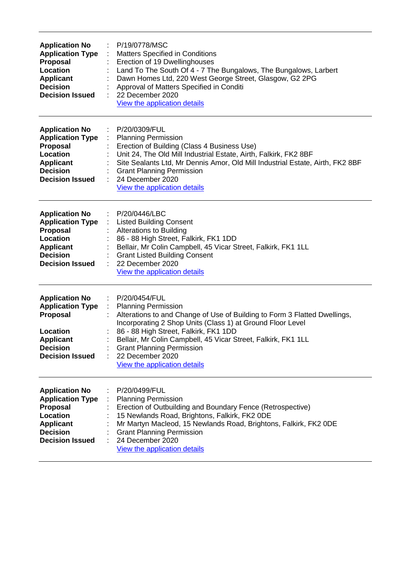| <b>Application No</b><br><b>Application Type</b><br>Proposal<br>Location<br><b>Applicant</b><br><b>Decision</b><br><b>Decision Issued</b>        | P/19/0778/MSC<br><b>Matters Specified in Conditions</b><br>Erection of 19 Dwellinghouses<br>Land To The South Of 4 - 7 The Bungalows, The Bungalows, Larbert<br>Dawn Homes Ltd, 220 West George Street, Glasgow, G2 2PG<br>Approval of Matters Specified in Conditi<br>22 December 2020<br>View the application details                                                                                                           |
|--------------------------------------------------------------------------------------------------------------------------------------------------|-----------------------------------------------------------------------------------------------------------------------------------------------------------------------------------------------------------------------------------------------------------------------------------------------------------------------------------------------------------------------------------------------------------------------------------|
| <b>Application No</b><br><b>Application Type</b><br><b>Proposal</b><br>Location<br><b>Applicant</b><br><b>Decision</b><br><b>Decision Issued</b> | P/20/0309/FUL<br><b>Planning Permission</b><br>Erection of Building (Class 4 Business Use)<br>Unit 24, The Old Mill Industrial Estate, Airth, Falkirk, FK2 8BF<br>Site Sealants Ltd, Mr Dennis Amor, Old Mill Industrial Estate, Airth, FK2 8BF<br><b>Grant Planning Permission</b><br>24 December 2020<br>View the application details                                                                                           |
| <b>Application No</b><br><b>Application Type</b><br>Proposal<br>Location<br><b>Applicant</b><br><b>Decision</b><br><b>Decision Issued</b>        | P/20/0446/LBC<br><b>Listed Building Consent</b><br><b>Alterations to Building</b><br>86 - 88 High Street, Falkirk, FK1 1DD<br>Bellair, Mr Colin Campbell, 45 Vicar Street, Falkirk, FK1 1LL<br><b>Grant Listed Building Consent</b><br>22 December 2020<br>View the application details                                                                                                                                           |
| <b>Application No</b><br><b>Application Type</b><br>Proposal<br>Location<br><b>Applicant</b><br>Decision<br><b>Decision Issued</b>               | P/20/0454/FUL<br>÷<br><b>Planning Permission</b><br>$\mathcal{L}^{\mathcal{L}}$<br>Alterations to and Change of Use of Building to Form 3 Flatted Dwellings,<br>Incorporating 2 Shop Units (Class 1) at Ground Floor Level<br>86 - 88 High Street, Falkirk, FK1 1DD<br>Bellair, Mr Colin Campbell, 45 Vicar Street, Falkirk, FK1 1LL<br><b>Grant Planning Permission</b><br>22 December 2020<br>÷<br>View the application details |
| <b>Application No</b><br><b>Application Type</b><br><b>Proposal</b><br>Location<br><b>Applicant</b><br><b>Decision</b><br><b>Decision Issued</b> | P/20/0499/FUL<br><b>Planning Permission</b><br>Erection of Outbuilding and Boundary Fence (Retrospective)<br>15 Newlands Road, Brightons, Falkirk, FK2 ODE<br>Mr Martyn Macleod, 15 Newlands Road, Brightons, Falkirk, FK2 ODE<br><b>Grant Planning Permission</b><br>24 December 2020<br>View the application details                                                                                                            |